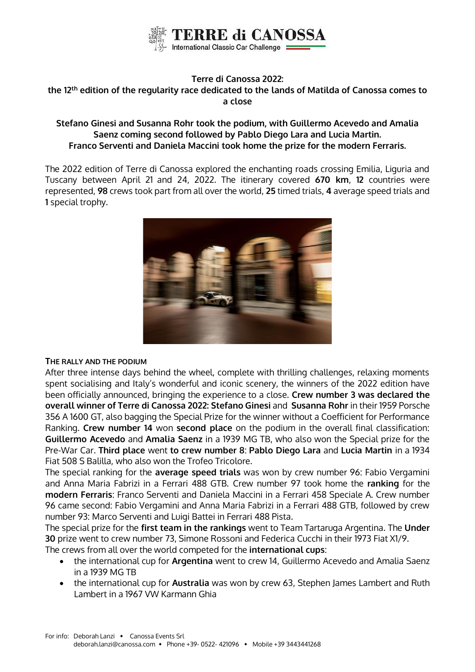

# **Terre di Canossa 2022:**

## **the 12th edition of the regularity race dedicated to the lands of Matilda of Canossa comes to a close**

# **Stefano Ginesi and Susanna Rohr took the podium, with Guillermo Acevedo and Amalia Saenz coming second followed by Pablo Diego Lara and Lucia Martin. Franco Serventi and Daniela Maccini took home the prize for the modern Ferraris.**

The 2022 edition of Terre di Canossa explored the enchanting roads crossing Emilia, Liguria and Tuscany between April 21 and 24, 2022. The itinerary covered **670 km**, **12** countries were represented, **98** crews took part from all over the world, **25** timed trials, **4** average speed trials and **1** special trophy.



## **THE RALLY AND THE PODIUM**

After three intense days behind the wheel, complete with thrilling challenges, relaxing moments spent socialising and Italy's wonderful and iconic scenery, the winners of the 2022 edition have been officially announced, bringing the experience to a close. **Crew number 3 was declared the overall winner of Terre di Canossa 2022: Stefano Ginesi** and **Susanna Rohr** in their 1959 Porsche 356 A 1600 GT, also bagging the Special Prize for the winner without a Coefficient for Performance Ranking. **Crew number 14** won **second place** on the podium in the overall final classification: **Guillermo Acevedo** and **Amalia Saenz** in a 1939 MG TB, who also won the Special prize for the Pre-War Car. **Third place** went **to crew number 8**: **Pablo Diego Lara** and **Lucia Martin** in a 1934 Fiat 508 S Balilla, who also won the Trofeo Tricolore.

The special ranking for the **average speed trials** was won by crew number 96: Fabio Vergamini and Anna Maria Fabrizi in a Ferrari 488 GTB. Crew number 97 took home the **ranking** for the **modern Ferraris**: Franco Serventi and Daniela Maccini in a Ferrari 458 Speciale A. Crew number 96 came second: Fabio Vergamini and Anna Maria Fabrizi in a Ferrari 488 GTB, followed by crew number 93: Marco Serventi and Luigi Battei in Ferrari 488 Pista.

The special prize for the **first team in the rankings** went to Team Tartaruga Argentina. The **Under 30** prize went to crew number 73, Simone Rossoni and Federica Cucchi in their 1973 Fiat X1/9.

The crews from all over the world competed for the **international cups**:

- the international cup for **Argentina** went to crew 14, Guillermo Acevedo and Amalia Saenz in a 1939 MG TB
- the international cup for **Australia** was won by crew 63, Stephen James Lambert and Ruth Lambert in a 1967 VW Karmann Ghia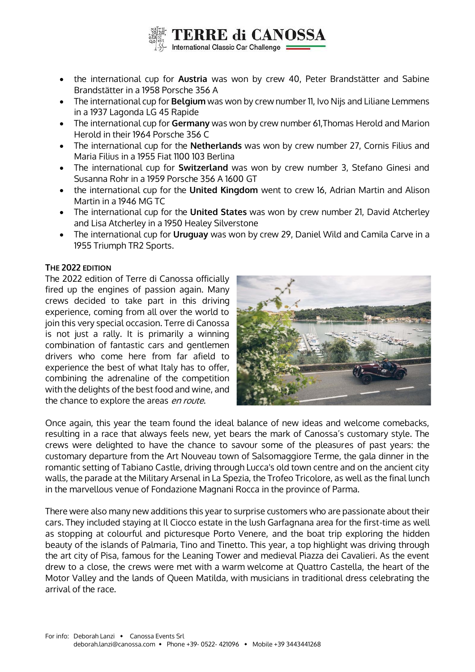

- the international cup for **Austria** was won by crew 40, Peter Brandstätter and Sabine Brandstätter in a 1958 Porsche 356 A
- The international cup for **Belgium** was won by crew number 11, Ivo Nijs and Liliane Lemmens in a 1937 Lagonda LG 45 Rapide
- The international cup for **Germany** was won by crew number 61,Thomas Herold and Marion Herold in their 1964 Porsche 356 C
- The international cup for the **Netherlands** was won by crew number 27, Cornis Filius and Maria Filius in a 1955 Fiat 1100 103 Berlina
- The international cup for **Switzerland** was won by crew number 3, Stefano Ginesi and Susanna Rohr in a 1959 Porsche 356 A 1600 GT
- the international cup for the **United Kingdom** went to crew 16, Adrian Martin and Alison Martin in a 1946 MG TC
- The international cup for the **United States** was won by crew number 21, David Atcherley and Lisa Atcherley in a 1950 Healey Silverstone
- The international cup for **Uruguay** was won by crew 29, Daniel Wild and Camila Carve in a 1955 Triumph TR2 Sports.

# **THE 2022 EDITION**

The 2022 edition of Terre di Canossa officially fired up the engines of passion again. Many crews decided to take part in this driving experience, coming from all over the world to join this very special occasion. Terre di Canossa is not just a rally. It is primarily a winning combination of fantastic cars and gentlemen drivers who come here from far afield to experience the best of what Italy has to offer, combining the adrenaline of the competition with the delights of the best food and wine, and the chance to explore the areas en route.



Once again, this year the team found the ideal balance of new ideas and welcome comebacks, resulting in a race that always feels new, yet bears the mark of Canossa's customary style. The crews were delighted to have the chance to savour some of the pleasures of past years: the customary departure from the Art Nouveau town of Salsomaggiore Terme, the gala dinner in the romantic setting of Tabiano Castle, driving through Lucca's old town centre and on the ancient city walls, the parade at the Military Arsenal in La Spezia, the Trofeo Tricolore, as well as the final lunch in the marvellous venue of Fondazione Magnani Rocca in the province of Parma.

There were also many new additions this year to surprise customers who are passionate about their cars. They included staying at Il Ciocco estate in the lush Garfagnana area for the first-time as well as stopping at colourful and picturesque Porto Venere, and the boat trip exploring the hidden beauty of the islands of Palmaria, Tino and Tinetto. This year, a top highlight was driving through the art city of Pisa, famous for the Leaning Tower and medieval Piazza dei Cavalieri. As the event drew to a close, the crews were met with a warm welcome at Quattro Castella, the heart of the Motor Valley and the lands of Queen Matilda, with musicians in traditional dress celebrating the arrival of the race.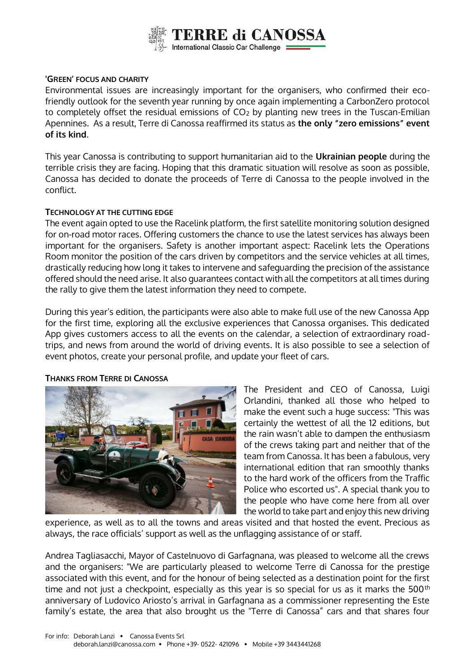

## **'GREEN' FOCUS AND CHARITY**

Environmental issues are increasingly important for the organisers, who confirmed their ecofriendly outlook for the seventh year running by once again implementing a CarbonZero protocol to completely offset the residual emissions of  $CO<sub>2</sub>$  by planting new trees in the Tuscan-Emilian Apennines. As a result, Terre di Canossa reaffirmed its status as **the only "zero emissions" event of its kind**.

This year Canossa is contributing to support humanitarian aid to the **Ukrainian people** during the terrible crisis they are facing. Hoping that this dramatic situation will resolve as soon as possible, Canossa has decided to donate the proceeds of Terre di Canossa to the people involved in the conflict.

## **TECHNOLOGY AT THE CUTTING EDGE**

The event again opted to use the Racelink platform, the first satellite monitoring solution designed for on-road motor races. Offering customers the chance to use the latest services has always been important for the organisers. Safety is another important aspect: Racelink lets the Operations Room monitor the position of the cars driven by competitors and the service vehicles at all times, drastically reducing how long it takes to intervene and safeguarding the precision of the assistance offered should the need arise. It also guarantees contact with all the competitors at all times during the rally to give them the latest information they need to compete.

During this year's edition, the participants were also able to make full use of the new Canossa App for the first time, exploring all the exclusive experiences that Canossa organises. This dedicated App gives customers access to all the events on the calendar, a selection of extraordinary roadtrips, and news from around the world of driving events. It is also possible to see a selection of event photos, create your personal profile, and update your fleet of cars.



#### **THANKS FROM TERRE DI CANOSSA**

The President and CEO of Canossa, Luigi Orlandini, thanked all those who helped to make the event such a huge success: "This was certainly the wettest of all the 12 editions, but the rain wasn't able to dampen the enthusiasm of the crews taking part and neither that of the team from Canossa. It has been a fabulous, very international edition that ran smoothly thanks to the hard work of the officers from the Traffic Police who escorted us". A special thank you to the people who have come here from all over the world to take part and enjoy this new driving

experience, as well as to all the towns and areas visited and that hosted the event. Precious as always, the race officials' support as well as the unflagging assistance of or staff.

Andrea Tagliasacchi, Mayor of Castelnuovo di Garfagnana, was pleased to welcome all the crews and the organisers: "We are particularly pleased to welcome Terre di Canossa for the prestige associated with this event, and for the honour of being selected as a destination point for the first time and not just a checkpoint, especially as this year is so special for us as it marks the  $500<sup>th</sup>$ anniversary of Ludovico Ariosto's arrival in Garfagnana as a commissioner representing the Este family's estate, the area that also brought us the "Terre di Canossa" cars and that shares four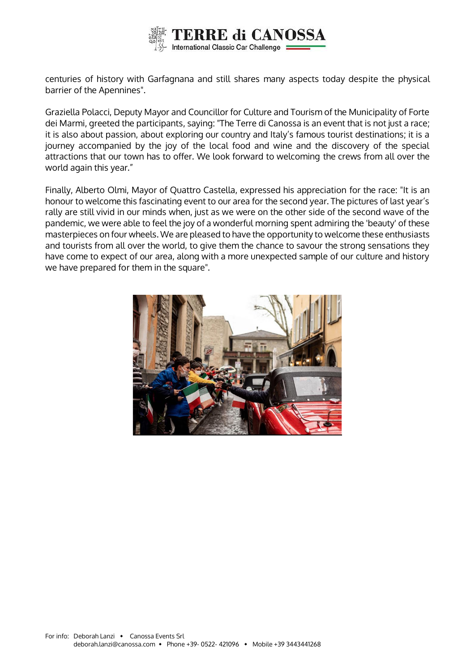

centuries of history with Garfagnana and still shares many aspects today despite the physical barrier of the Apennines".

Graziella Polacci, Deputy Mayor and Councillor for Culture and Tourism of the Municipality of Forte dei Marmi, greeted the participants, saying: "The Terre di Canossa is an event that is not just a race; it is also about passion, about exploring our country and Italy's famous tourist destinations; it is a journey accompanied by the joy of the local food and wine and the discovery of the special attractions that our town has to offer. We look forward to welcoming the crews from all over the world again this year."

Finally, Alberto Olmi, Mayor of Quattro Castella, expressed his appreciation for the race: "It is an honour to welcome this fascinating event to our area for the second year. The pictures of last year's rally are still vivid in our minds when, just as we were on the other side of the second wave of the pandemic, we were able to feel the joy of a wonderful morning spent admiring the 'beauty' of these masterpieces on four wheels. We are pleased to have the opportunity to welcome these enthusiasts and tourists from all over the world, to give them the chance to savour the strong sensations they have come to expect of our area, along with a more unexpected sample of our culture and history we have prepared for them in the square".

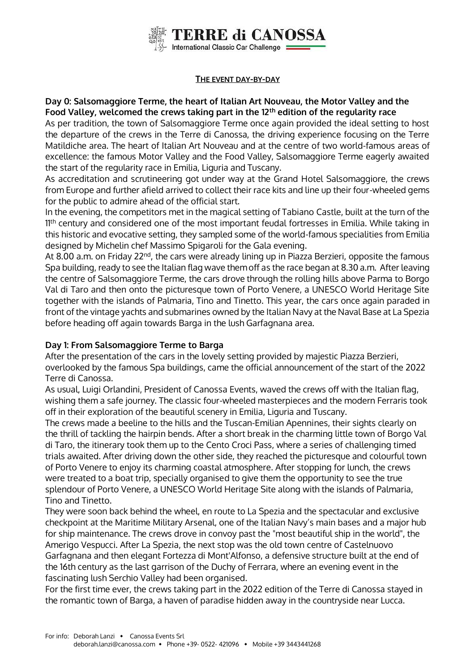

## **THE EVENT DAY-BY-DAY**

# **Day 0: Salsomaggiore Terme, the heart of Italian Art Nouveau, the Motor Valley and the Food Valley, welcomed the crews taking part in the 12th edition of the regularity race**

As per tradition, the town of Salsomaggiore Terme once again provided the ideal setting to host the departure of the crews in the Terre di Canossa, the driving experience focusing on the Terre Matildiche area. The heart of Italian Art Nouveau and at the centre of two world-famous areas of excellence: the famous Motor Valley and the Food Valley, Salsomaggiore Terme eagerly awaited the start of the regularity race in Emilia, Liguria and Tuscany.

As accreditation and scrutineering got under way at the Grand Hotel Salsomaggiore, the crews from Europe and further afield arrived to collect their race kits and line up their four-wheeled gems for the public to admire ahead of the official start.

In the evening, the competitors met in the magical setting of Tabiano Castle, built at the turn of the 1<sup>th</sup> century and considered one of the most important feudal fortresses in Emilia. While taking in this historic and evocative setting, they sampled some of the world-famous specialities from Emilia designed by Michelin chef Massimo Spigaroli for the Gala evening.

At 8.00 a.m. on Friday 22<sup>nd</sup>, the cars were already lining up in Piazza Berzieri, opposite the famous Spa building, ready to see the Italian flag wave them off as the race began at 8.30 a.m. After leaving the centre of Salsomaggiore Terme, the cars drove through the rolling hills above Parma to Borgo Val di Taro and then onto the picturesque town of Porto Venere, a UNESCO World Heritage Site together with the islands of Palmaria, Tino and Tinetto. This year, the cars once again paraded in front of the vintage yachts and submarines owned by the Italian Navy at the Naval Base at La Spezia before heading off again towards Barga in the lush Garfagnana area.

# **Day 1: From Salsomaggiore Terme to Barga**

After the presentation of the cars in the lovely setting provided by majestic Piazza Berzieri, overlooked by the famous Spa buildings, came the official announcement of the start of the 2022 Terre di Canossa.

As usual, Luigi Orlandini, President of Canossa Events, waved the crews off with the Italian flag, wishing them a safe journey. The classic four-wheeled masterpieces and the modern Ferraris took off in their exploration of the beautiful scenery in Emilia, Liguria and Tuscany.

The crews made a beeline to the hills and the Tuscan-Emilian Apennines, their sights clearly on the thrill of tackling the hairpin bends. After a short break in the charming little town of Borgo Val di Taro, the itinerary took them up to the Cento Croci Pass, where a series of challenging timed trials awaited. After driving down the other side, they reached the picturesque and colourful town of Porto Venere to enjoy its charming coastal atmosphere. After stopping for lunch, the crews were treated to a boat trip, specially organised to give them the opportunity to see the true splendour of Porto Venere, a UNESCO World Heritage Site along with the islands of Palmaria, Tino and Tinetto.

They were soon back behind the wheel, en route to La Spezia and the spectacular and exclusive checkpoint at the Maritime Military Arsenal, one of the Italian Navy's main bases and a major hub for ship maintenance. The crews drove in convoy past the "most beautiful ship in the world", the Amerigo Vespucci. After La Spezia, the next stop was the old town centre of Castelnuovo Garfagnana and then elegant Fortezza di Mont'Alfonso, a defensive structure built at the end of the 16th century as the last garrison of the Duchy of Ferrara, where an evening event in the fascinating lush Serchio Valley had been organised.

For the first time ever, the crews taking part in the 2022 edition of the Terre di Canossa stayed in the romantic town of Barga, a haven of paradise hidden away in the countryside near Lucca.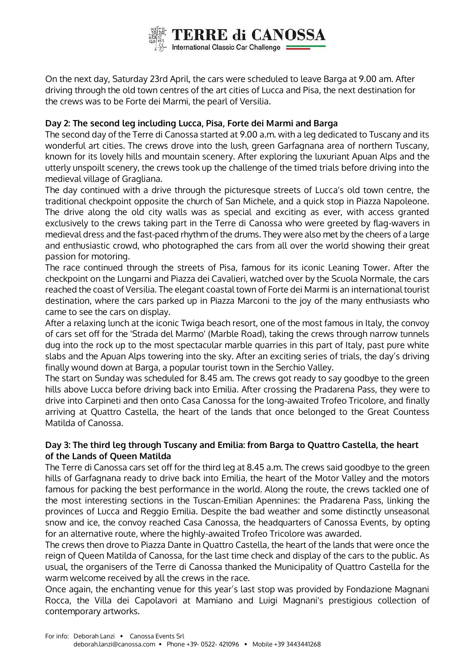

On the next day, Saturday 23rd April, the cars were scheduled to leave Barga at 9.00 am. After driving through the old town centres of the art cities of Lucca and Pisa, the next destination for the crews was to be Forte dei Marmi, the pearl of Versilia.

# **Day 2: The second leg including Lucca, Pisa, Forte dei Marmi and Barga**

The second day of the Terre di Canossa started at 9.00 a.m. with a leg dedicated to Tuscany and its wonderful art cities. The crews drove into the lush, green Garfagnana area of northern Tuscany, known for its lovely hills and mountain scenery. After exploring the luxuriant Apuan Alps and the utterly unspoilt scenery, the crews took up the challenge of the timed trials before driving into the medieval village of Gragliana.

The day continued with a drive through the picturesque streets of Lucca's old town centre, the traditional checkpoint opposite the church of San Michele, and a quick stop in Piazza Napoleone. The drive along the old city walls was as special and exciting as ever, with access granted exclusively to the crews taking part in the Terre di Canossa who were greeted by flag-wavers in medieval dress and the fast-paced rhythm of the drums. They were also met by the cheers of a large and enthusiastic crowd, who photographed the cars from all over the world showing their great passion for motoring.

The race continued through the streets of Pisa, famous for its iconic Leaning Tower. After the checkpoint on the Lungarni and Piazza dei Cavalieri, watched over by the Scuola Normale, the cars reached the coast of Versilia. The elegant coastal town of Forte dei Marmi is an international tourist destination, where the cars parked up in Piazza Marconi to the joy of the many enthusiasts who came to see the cars on display.

After a relaxing lunch at the iconic Twiga beach resort, one of the most famous in Italy, the convoy of cars set off for the 'Strada del Marmo' (Marble Road), taking the crews through narrow tunnels dug into the rock up to the most spectacular marble quarries in this part of Italy, past pure white slabs and the Apuan Alps towering into the sky. After an exciting series of trials, the day's driving finally wound down at Barga, a popular tourist town in the Serchio Valley.

The start on Sunday was scheduled for 8.45 am. The crews got ready to say goodbye to the green hills above Lucca before driving back into Emilia. After crossing the Pradarena Pass, they were to drive into Carpineti and then onto Casa Canossa for the long-awaited Trofeo Tricolore, and finally arriving at Quattro Castella, the heart of the lands that once belonged to the Great Countess Matilda of Canossa.

# **Day 3: The third leg through Tuscany and Emilia: from Barga to Quattro Castella, the heart of the Lands of Queen Matilda**

The Terre di Canossa cars set off for the third leg at 8.45 a.m. The crews said goodbye to the green hills of Garfagnana ready to drive back into Emilia, the heart of the Motor Valley and the motors famous for packing the best performance in the world. Along the route, the crews tackled one of the most interesting sections in the Tuscan-Emilian Apennines: the Pradarena Pass, linking the provinces of Lucca and Reggio Emilia. Despite the bad weather and some distinctly unseasonal snow and ice, the convoy reached Casa Canossa, the headquarters of Canossa Events, by opting for an alternative route, where the highly-awaited Trofeo Tricolore was awarded.

The crews then drove to Piazza Dante in Quattro Castella, the heart of the lands that were once the reign of Queen Matilda of Canossa, for the last time check and display of the cars to the public. As usual, the organisers of the Terre di Canossa thanked the Municipality of Quattro Castella for the warm welcome received by all the crews in the race.

Once again, the enchanting venue for this year's last stop was provided by Fondazione Magnani Rocca, the Villa dei Capolavori at Mamiano and Luigi Magnani's prestigious collection of contemporary artworks.